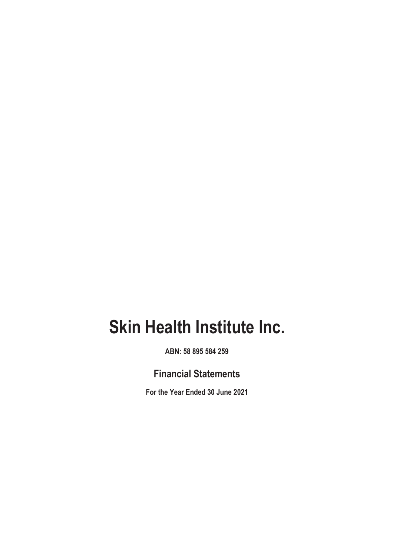**ABN: 58 895 584 259**

# **Financial Statements**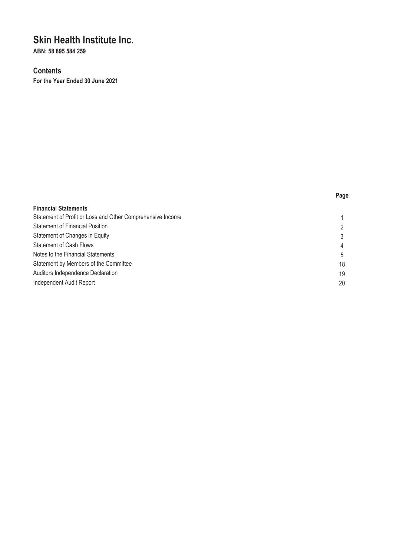**ABN: 58 895 584 259**

# **Contents**

| . .<br>×<br>×<br>٧<br>×<br>۰. |
|-------------------------------|
|-------------------------------|

| <b>Financial Statements</b>                                |    |
|------------------------------------------------------------|----|
| Statement of Profit or Loss and Other Comprehensive Income |    |
| <b>Statement of Financial Position</b>                     | 2  |
| Statement of Changes in Equity                             | 3  |
| <b>Statement of Cash Flows</b>                             | 4  |
| Notes to the Financial Statements                          | 5  |
| Statement by Members of the Committee                      | 18 |
| Auditors Independence Declaration                          | 19 |
| <b>Independent Audit Report</b>                            | 20 |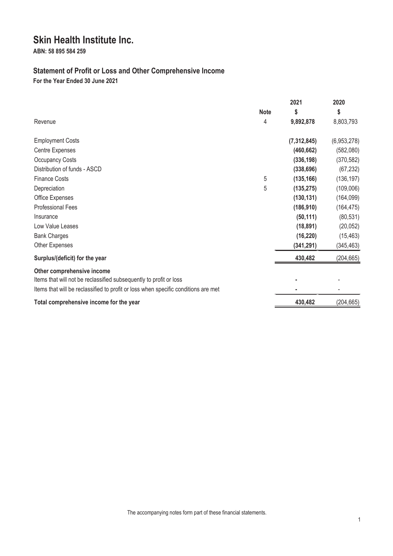**ABN: 58 895 584 259**

# **Statement of Profit or Loss and Other Comprehensive Income**

|                                                                                                                                                          |             | 2021          | 2020        |
|----------------------------------------------------------------------------------------------------------------------------------------------------------|-------------|---------------|-------------|
|                                                                                                                                                          | <b>Note</b> | \$            | \$          |
| Revenue                                                                                                                                                  | 4           | 9,892,878     | 8,803,793   |
| <b>Employment Costs</b>                                                                                                                                  |             | (7, 312, 845) | (6,953,278) |
| Centre Expenses                                                                                                                                          |             | (460, 662)    | (582,080)   |
| <b>Occupancy Costs</b>                                                                                                                                   |             | (336, 198)    | (370, 582)  |
| Distribution of funds - ASCD                                                                                                                             |             | (338, 696)    | (67, 232)   |
| <b>Finance Costs</b>                                                                                                                                     | 5           | (135, 166)    | (136, 197)  |
| Depreciation                                                                                                                                             | 5           | (135, 275)    | (109,006)   |
| Office Expenses                                                                                                                                          |             | (130, 131)    | (164, 099)  |
| <b>Professional Fees</b>                                                                                                                                 |             | (186, 910)    | (164, 475)  |
| Insurance                                                                                                                                                |             | (50, 111)     | (80, 531)   |
| Low Value Leases                                                                                                                                         |             | (18, 891)     | (20, 052)   |
| <b>Bank Charges</b>                                                                                                                                      |             | (16, 220)     | (15, 463)   |
| Other Expenses                                                                                                                                           |             | (341, 291)    | (345, 463)  |
| Surplus/(deficit) for the year                                                                                                                           |             | 430,482       | (204, 665)  |
| Other comprehensive income                                                                                                                               |             |               |             |
| Items that will not be reclassified subsequently to profit or loss<br>Items that will be reclassified to profit or loss when specific conditions are met |             |               |             |
| Total comprehensive income for the year                                                                                                                  |             | 430,482       | (204, 665)  |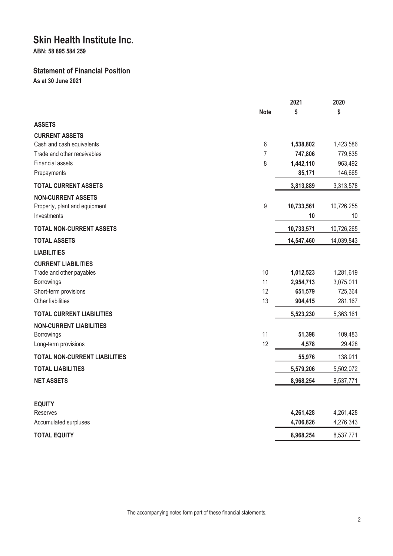**ABN: 58 895 584 259**

# **Statement of Financial Position**

**As at 30 June 2021**

|                                            |                | 2021            | 2020              |
|--------------------------------------------|----------------|-----------------|-------------------|
|                                            | <b>Note</b>    | \$              | \$                |
| <b>ASSETS</b>                              |                |                 |                   |
| <b>CURRENT ASSETS</b>                      |                |                 |                   |
| Cash and cash equivalents                  | 6              | 1,538,802       | 1,423,586         |
| Trade and other receivables                | $\overline{7}$ | 747,806         | 779,835           |
| <b>Financial assets</b>                    | 8              | 1,442,110       | 963,492           |
| Prepayments                                |                | 85,171          | 146,665           |
| <b>TOTAL CURRENT ASSETS</b>                |                | 3,813,889       | 3,313,578         |
| <b>NON-CURRENT ASSETS</b>                  |                |                 |                   |
| Property, plant and equipment              | 9              | 10,733,561      | 10,726,255        |
| Investments                                |                | 10              | 10                |
| <b>TOTAL NON-CURRENT ASSETS</b>            |                | 10,733,571      | 10,726,265        |
| <b>TOTAL ASSETS</b>                        |                | 14,547,460      | 14,039,843        |
| <b>LIABILITIES</b>                         |                |                 |                   |
| <b>CURRENT LIABILITIES</b>                 |                |                 |                   |
| Trade and other payables                   | 10             | 1,012,523       | 1,281,619         |
| Borrowings                                 | 11             | 2,954,713       | 3,075,011         |
| Short-term provisions<br>Other liabilities | 12<br>13       | 651,579         | 725,364           |
|                                            |                | 904,415         | 281,167           |
| <b>TOTAL CURRENT LIABILITIES</b>           |                | 5,523,230       | 5,363,161         |
| <b>NON-CURRENT LIABILITIES</b>             |                |                 |                   |
| Borrowings<br>Long-term provisions         | 11<br>12       | 51,398<br>4,578 | 109,483<br>29,428 |
|                                            |                |                 |                   |
| <b>TOTAL NON-CURRENT LIABILITIES</b>       |                | 55,976          | 138,911           |
| <b>TOTAL LIABILITIES</b>                   |                | 5,579,206       | 5,502,072         |
| <b>NET ASSETS</b>                          |                | 8,968,254       | 8,537,771         |
|                                            |                |                 |                   |
| <b>EQUITY</b>                              |                |                 |                   |
| Reserves                                   |                | 4,261,428       | 4,261,428         |
| Accumulated surpluses                      |                | 4,706,826       | 4,276,343         |
| <b>TOTAL EQUITY</b>                        |                | 8,968,254       | 8,537,771         |

The accompanying notes form part of these financial statements.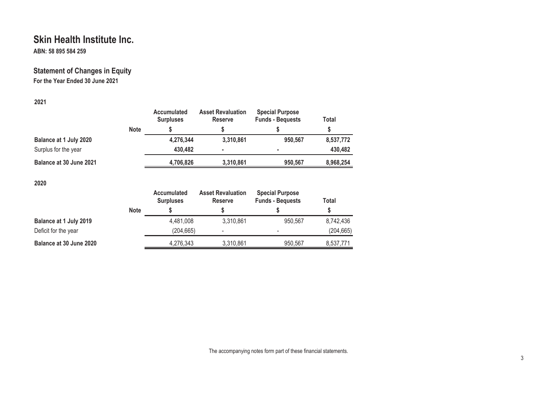**ABN: 58 895 584 259**

# **Statement of Changes in Equity For the Year Ended 30 June 2021**

# **2021**

|                         |             | Accumulated<br><b>Surpluses</b> | <b>Asset Revaluation</b><br><b>Reserve</b> | <b>Special Purpose</b><br><b>Funds - Bequests</b> | Total     |
|-------------------------|-------------|---------------------------------|--------------------------------------------|---------------------------------------------------|-----------|
|                         | <b>Note</b> |                                 |                                            |                                                   |           |
| Balance at 1 July 2020  |             | 4,276,344                       | 3,310,861                                  | 950,567                                           | 8,537,772 |
| Surplus for the year    |             | 430,482                         | ٠                                          |                                                   | 430,482   |
| Balance at 30 June 2021 |             | 4,706,826                       | 3,310,861                                  | 950.567                                           | 8,968,254 |
|                         |             |                                 |                                            |                                                   |           |

**2020**

|                               |             | <b>Accumulated</b><br><b>Surpluses</b> | <b>Asset Revaluation</b><br>Reserve | <b>Special Purpose</b><br><b>Funds - Bequests</b> | Total      |
|-------------------------------|-------------|----------------------------------------|-------------------------------------|---------------------------------------------------|------------|
|                               | <b>Note</b> |                                        |                                     |                                                   |            |
| <b>Balance at 1 July 2019</b> |             | 4,481,008                              | 3,310,861                           | 950.567                                           | 8.742.436  |
| Deficit for the year          |             | (204, 665)                             | -                                   | -                                                 | (204, 665) |
| Balance at 30 June 2020       |             | 4,276,343                              | 3,310,861                           | 950.567                                           | 8,537,771  |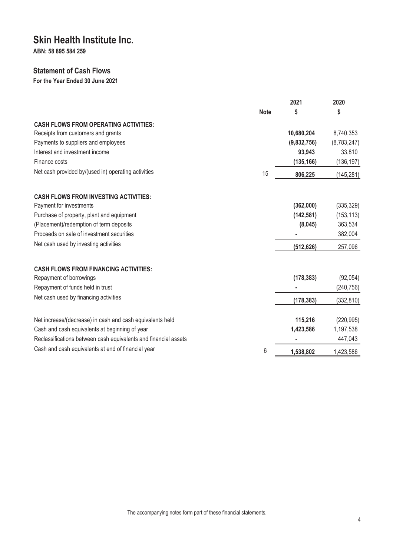**ABN: 58 895 584 259**

# **Statement of Cash Flows**

|                                                                 |             | 2021        | 2020        |
|-----------------------------------------------------------------|-------------|-------------|-------------|
|                                                                 | <b>Note</b> | \$          | \$          |
| <b>CASH FLOWS FROM OPERATING ACTIVITIES:</b>                    |             |             |             |
| Receipts from customers and grants                              |             | 10,680,204  | 8,740,353   |
| Payments to suppliers and employees                             |             | (9,832,756) | (8,783,247) |
| Interest and investment income                                  |             | 93,943      | 33,810      |
| Finance costs                                                   |             | (135, 166)  | (136, 197)  |
| Net cash provided by/(used in) operating activities             | 15          | 806,225     | (145, 281)  |
| <b>CASH FLOWS FROM INVESTING ACTIVITIES:</b>                    |             |             |             |
| Payment for investments                                         |             | (362,000)   | (335, 329)  |
| Purchase of property, plant and equipment                       |             | (142, 581)  | (153, 113)  |
| (Placement)/redemption of term deposits                         |             | (8,045)     | 363,534     |
| Proceeds on sale of investment securities                       |             |             | 382,004     |
| Net cash used by investing activities                           |             | (512, 626)  | 257,096     |
| <b>CASH FLOWS FROM FINANCING ACTIVITIES:</b>                    |             |             |             |
| Repayment of borrowings                                         |             | (178, 383)  | (92,054)    |
| Repayment of funds held in trust                                |             |             | (240, 756)  |
| Net cash used by financing activities                           |             | (178, 383)  | (332, 810)  |
| Net increase/(decrease) in cash and cash equivalents held       |             | 115,216     | (220, 995)  |
| Cash and cash equivalents at beginning of year                  |             | 1,423,586   | 1,197,538   |
| Reclassifications between cash equivalents and financial assets |             |             | 447,043     |
| Cash and cash equivalents at end of financial year              | 6           | 1,538,802   | 1,423,586   |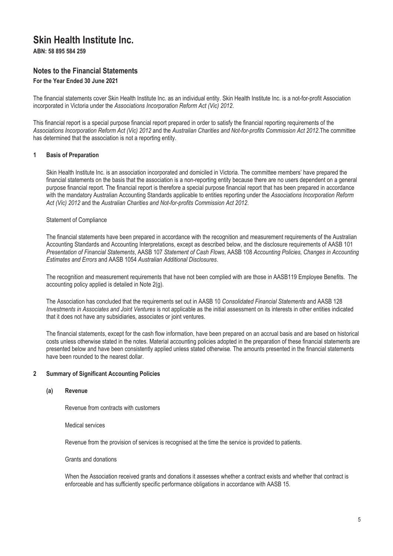**ABN: 58 895 584 259**

# **Notes to the Financial Statements**

### **For the Year Ended 30 June 2021**

The financial statements cover Skin Health Institute Inc. as an individual entity. Skin Health Institute Inc. is a not-for-profit Association incorporated in Victoria under the *Associations Incorporation Reform Act (Vic) 2012*.

This financial report is a special purpose financial report prepared in order to satisfy the financial reporting requirements of the *Associations Incorporation Reform Act (Vic) 2012* and the *Australian Charities and Not-for-profits Commission Act 2012*.The committee has determined that the association is not a reporting entity.

### **1 Basis of Preparation**

Skin Health Institute Inc. is an association incorporated and domiciled in Victoria. The committee members' have prepared the financial statements on the basis that the association is a non-reporting entity because there are no users dependent on a general purpose financial report. The financial report is therefore a special purpose financial report that has been prepared in accordance with the mandatory Australian Accounting Standards applicable to entities reporting under the *Associations Incorporation Reform Act (Vic) 2012* and the *Australian Charities and Not-for-profits Commission Act 2012*.

#### Statement of Compliance

The financial statements have been prepared in accordance with the recognition and measurement requirements of the Australian Accounting Standards and Accounting Interpretations, except as described below, and the disclosure requirements of AASB 101 *Presentation of Financial Statements*, AASB 107 *Statement of Cash Flows*, AASB 108 *Accounting Policies, Changes in Accounting Estimates and Errors* and AASB 1054 *Australian Additional Disclosures*.

The recognition and measurement requirements that have not been complied with are those in AASB119 Employee Benefits. The accounting policy applied is detailed in Note 2(g).

The Association has concluded that the requirements set out in AASB 10 *Consolidated Financial Statements* and AASB 128 *Investments in Associates and Joint Ventures* is not applicable as the initial assessment on its interests in other entities indicated that it does not have any subsidiaries, associates or joint ventures.

The financial statements, except for the cash flow information, have been prepared on an accrual basis and are based on historical costs unless otherwise stated in the notes. Material accounting policies adopted in the preparation of these financial statements are presented below and have been consistently applied unless stated otherwise. The amounts presented in the financial statements have been rounded to the nearest dollar.

#### **2 Summary of Significant Accounting Policies**

#### **(a) Revenue**

Revenue from contracts with customers

Medical services

Revenue from the provision of services is recognised at the time the service is provided to patients.

Grants and donations

When the Association received grants and donations it assesses whether a contract exists and whether that contract is enforceable and has sufficiently specific performance obligations in accordance with AASB 15.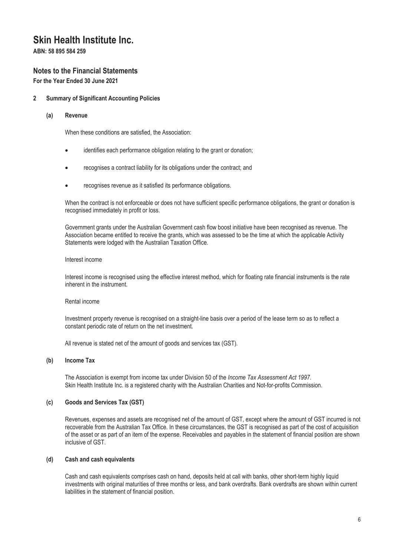**ABN: 58 895 584 259**

# **Notes to the Financial Statements**

**For the Year Ended 30 June 2021**

### **2 Summary of Significant Accounting Policies**

#### **(a) Revenue**

When these conditions are satisfied, the Association:

- identifies each performance obligation relating to the grant or donation;
- recognises a contract liability for its obligations under the contract; and
- recognises revenue as it satisfied its performance obligations.

When the contract is not enforceable or does not have sufficient specific performance obligations, the grant or donation is recognised immediately in profit or loss.

Government grants under the Australian Government cash flow boost initiative have been recognised as revenue. The Association became entitled to receive the grants, which was assessed to be the time at which the applicable Activity Statements were lodged with the Australian Taxation Office.

#### Interest income

Interest income is recognised using the effective interest method, which for floating rate financial instruments is the rate inherent in the instrument.

#### Rental income

Investment property revenue is recognised on a straight-line basis over a period of the lease term so as to reflect a constant periodic rate of return on the net investment.

All revenue is stated net of the amount of goods and services tax (GST).

### **(b) Income Tax**

The Association is exempt from income tax under Division 50 of the *Income Tax Assessment Act 1997*. Skin Health Institute Inc. is a registered charity with the Australian Charities and Not-for-profits Commission.

# **(c) Goods and Services Tax (GST)**

Revenues, expenses and assets are recognised net of the amount of GST, except where the amount of GST incurred is not recoverable from the Australian Tax Office. In these circumstances, the GST is recognised as part of the cost of acquisition of the asset or as part of an item of the expense. Receivables and payables in the statement of financial position are shown inclusive of GST.

#### **(d) Cash and cash equivalents**

Cash and cash equivalents comprises cash on hand, deposits held at call with banks, other short-term highly liquid investments with original maturities of three months or less, and bank overdrafts. Bank overdrafts are shown within current liabilities in the statement of financial position.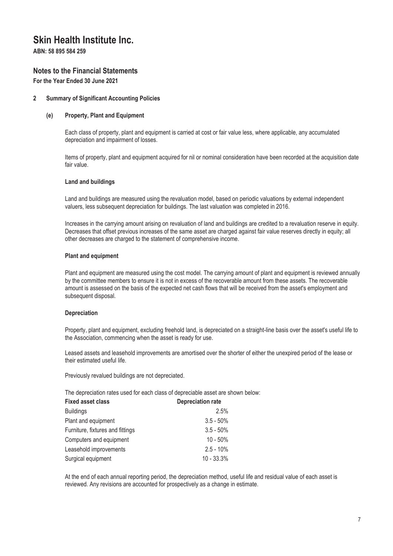**ABN: 58 895 584 259**

# **Notes to the Financial Statements**

**For the Year Ended 30 June 2021**

### **2 Summary of Significant Accounting Policies**

#### **(e) Property, Plant and Equipment**

Each class of property, plant and equipment is carried at cost or fair value less, where applicable, any accumulated depreciation and impairment of losses.

Items of property, plant and equipment acquired for nil or nominal consideration have been recorded at the acquisition date fair value.

#### **Land and buildings**

Land and buildings are measured using the revaluation model, based on periodic valuations by external independent valuers, less subsequent depreciation for buildings. The last valuation was completed in 2016.

Increases in the carrying amount arising on revaluation of land and buildings are credited to a revaluation reserve in equity. Decreases that offset previous increases of the same asset are charged against fair value reserves directly in equity; all other decreases are charged to the statement of comprehensive income.

### **Plant and equipment**

Plant and equipment are measured using the cost model. The carrying amount of plant and equipment is reviewed annually by the committee members to ensure it is not in excess of the recoverable amount from these assets. The recoverable amount is assessed on the basis of the expected net cash flows that will be received from the asset's employment and subsequent disposal.

### **Depreciation**

Property, plant and equipment, excluding freehold land, is depreciated on a straight-line basis over the asset's useful life to the Association, commencing when the asset is ready for use.

Leased assets and leasehold improvements are amortised over the shorter of either the unexpired period of the lease or their estimated useful life.

Previously revalued buildings are not depreciated.

The depreciation rates used for each class of depreciable asset are shown below:

| <b>Fixed asset class</b>         | <b>Depreciation rate</b> |
|----------------------------------|--------------------------|
| <b>Buildings</b>                 | 2.5%                     |
| Plant and equipment              | $3.5 - 50\%$             |
| Furniture, fixtures and fittings | $3.5 - 50\%$             |
| Computers and equipment          | $10 - 50%$               |
| Leasehold improvements           | $2.5 - 10\%$             |
| Surgical equipment               | $10 - 33.3%$             |

At the end of each annual reporting period, the depreciation method, useful life and residual value of each asset is reviewed. Any revisions are accounted for prospectively as a change in estimate.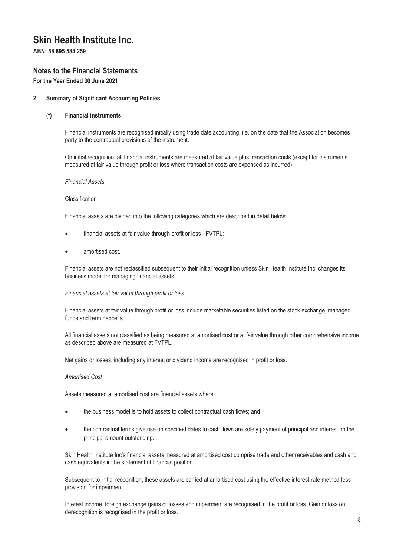**ABN: 58 895 584 259**

# **Notes to the Financial Statements**

**For the Year Ended 30 June 2021**

### **2 Summary of Significant Accounting Policies**

#### **(f) Financial instruments**

Financial instruments are recognised initially using trade date accounting, i.e. on the date that the Association becomes party to the contractual provisions of the instrument.

On initial recognition, all financial instruments are measured at fair value plus transaction costs (except for instruments measured at fair value through profit or loss where transaction costs are expensed as incurred).

*Financial Assets* 

#### Classification

Financial assets are divided into the following categories which are described in detail below:

- financial assets at fair value through profit or loss FVTPL;
- amortised cost.

Financial assets are not reclassified subsequent to their initial recognition unless Skin Health Institute Inc. changes its business model for managing financial assets.

#### *Financial assets at fair value through profit or loss*

Financial assets at fair value through profit or loss include marketable securities listed on the stock exchange, managed funds and term deposits.

All financial assets not classified as being measured at amortised cost or at fair value through other comprehensive income as described above are measured at FVTPL.

Net gains or losses, including any interest or dividend income are recognised in profit or loss.

#### *Amortised Cost*

Assets measured at amortised cost are financial assets where:

- the business model is to hold assets to collect contractual cash flows; and
- the contractual terms give rise on specified dates to cash flows are solely payment of principal and interest on the principal amount outstanding.

Skin Health Institute Inc's financial assets measured at amortised cost comprise trade and other receivables and cash and cash equivalents in the statement of financial position.

Subsequent to initial recognition, these assets are carried at amortised cost using the effective interest rate method less provision for impairment.

Interest income, foreign exchange gains or losses and impairment are recognised in the profit or loss. Gain or loss on derecognition is recognised in the profit or loss.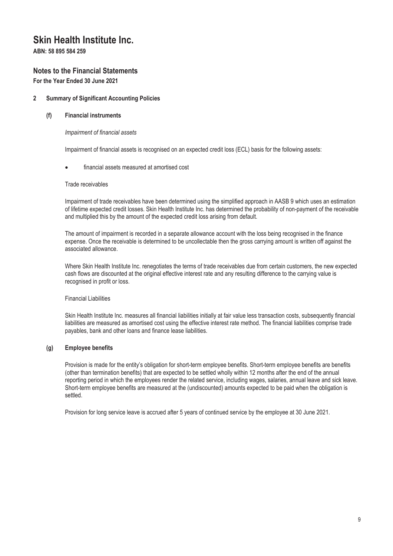**ABN: 58 895 584 259**

# **Notes to the Financial Statements**

**For the Year Ended 30 June 2021**

# **2 Summary of Significant Accounting Policies**

### **(f) Financial instruments**

### *Impairment of financial assets*

Impairment of financial assets is recognised on an expected credit loss (ECL) basis for the following assets:

### financial assets measured at amortised cost

#### Trade receivables

Impairment of trade receivables have been determined using the simplified approach in AASB 9 which uses an estimation of lifetime expected credit losses. Skin Health Institute Inc. has determined the probability of non-payment of the receivable and multiplied this by the amount of the expected credit loss arising from default.

The amount of impairment is recorded in a separate allowance account with the loss being recognised in the finance expense. Once the receivable is determined to be uncollectable then the gross carrying amount is written off against the associated allowance.

Where Skin Health Institute Inc. renegotiates the terms of trade receivables due from certain customers, the new expected cash flows are discounted at the original effective interest rate and any resulting difference to the carrying value is recognised in profit or loss.

#### Financial Liabilities

Skin Health Institute Inc. measures all financial liabilities initially at fair value less transaction costs, subsequently financial liabilities are measured as amortised cost using the effective interest rate method. The financial liabilities comprise trade payables, bank and other loans and finance lease liabilities.

### **(g) Employee benefits**

Provision is made for the entity's obligation for short-term employee benefits. Short-term employee benefits are benefits (other than termination benefits) that are expected to be settled wholly within 12 months after the end of the annual reporting period in which the employees render the related service, including wages, salaries, annual leave and sick leave. Short-term employee benefits are measured at the (undiscounted) amounts expected to be paid when the obligation is settled.

Provision for long service leave is accrued after 5 years of continued service by the employee at 30 June 2021.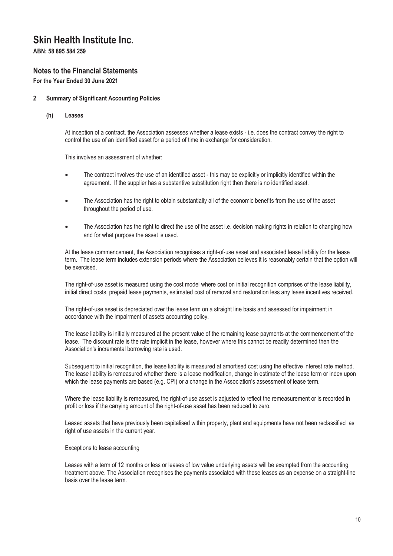**ABN: 58 895 584 259**

# **Notes to the Financial Statements**

**For the Year Ended 30 June 2021**

### **2 Summary of Significant Accounting Policies**

**(h) Leases**

At inception of a contract, the Association assesses whether a lease exists - i.e. does the contract convey the right to control the use of an identified asset for a period of time in exchange for consideration.

This involves an assessment of whether:

- The contract involves the use of an identified asset this may be explicitly or implicitly identified within the agreement. If the supplier has a substantive substitution right then there is no identified asset.
- The Association has the right to obtain substantially all of the economic benefits from the use of the asset throughout the period of use.
- The Association has the right to direct the use of the asset i.e. decision making rights in relation to changing how and for what purpose the asset is used.

At the lease commencement, the Association recognises a right-of-use asset and associated lease liability for the lease term. The lease term includes extension periods where the Association believes it is reasonably certain that the option will be exercised.

The right-of-use asset is measured using the cost model where cost on initial recognition comprises of the lease liability, initial direct costs, prepaid lease payments, estimated cost of removal and restoration less any lease incentives received.

The right-of-use asset is depreciated over the lease term on a straight line basis and assessed for impairment in accordance with the impairment of assets accounting policy.

The lease liability is initially measured at the present value of the remaining lease payments at the commencement of the lease. The discount rate is the rate implicit in the lease, however where this cannot be readily determined then the Association's incremental borrowing rate is used.

Subsequent to initial recognition, the lease liability is measured at amortised cost using the effective interest rate method. The lease liability is remeasured whether there is a lease modification, change in estimate of the lease term or index upon which the lease payments are based (e.g. CPI) or a change in the Association's assessment of lease term.

Where the lease liability is remeasured, the right-of-use asset is adjusted to reflect the remeasurement or is recorded in profit or loss if the carrying amount of the right-of-use asset has been reduced to zero.

Leased assets that have previously been capitalised within property, plant and equipments have not been reclassified as right of use assets in the current year.

### Exceptions to lease accounting

Leases with a term of 12 months or less or leases of low value underlying assets will be exempted from the accounting treatment above. The Association recognises the payments associated with these leases as an expense on a straight-line basis over the lease term.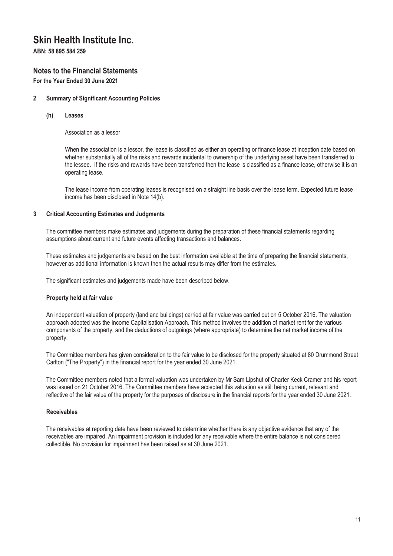**ABN: 58 895 584 259**

# **Notes to the Financial Statements**

**For the Year Ended 30 June 2021**

# **2 Summary of Significant Accounting Policies**

**(h) Leases**

Association as a lessor

When the association is a lessor, the lease is classified as either an operating or finance lease at inception date based on whether substantially all of the risks and rewards incidental to ownership of the underlying asset have been transferred to the lessee. If the risks and rewards have been transferred then the lease is classified as a finance lease, otherwise it is an operating lease.

The lease income from operating leases is recognised on a straight line basis over the lease term. Expected future lease income has been disclosed in Note 14(b).

# **3 Critical Accounting Estimates and Judgments**

The committee members make estimates and judgements during the preparation of these financial statements regarding assumptions about current and future events affecting transactions and balances.

These estimates and judgements are based on the best information available at the time of preparing the financial statements, however as additional information is known then the actual results may differ from the estimates.

The significant estimates and judgements made have been described below.

### **Property held at fair value**

An independent valuation of property (land and buildings) carried at fair value was carried out on 5 October 2016. The valuation approach adopted was the Income Capitalisation Approach. This method involves the addition of market rent for the various components of the property, and the deductions of outgoings (where appropriate) to determine the net market income of the property.

The Committee members has given consideration to the fair value to be disclosed for the property situated at 80 Drummond Street Carlton ("The Property") in the financial report for the year ended 30 June 2021.

The Committee members noted that a formal valuation was undertaken by Mr Sam Lipshut of Charter Keck Cramer and his report was issued on 21 October 2016. The Committee members have accepted this valuation as still being current, relevant and reflective of the fair value of the property for the purposes of disclosure in the financial reports for the year ended 30 June 2021.

### **Receivables**

The receivables at reporting date have been reviewed to determine whether there is any objective evidence that any of the receivables are impaired. An impairment provision is included for any receivable where the entire balance is not considered collectible. No provision for impairment has been raised as at 30 June 2021.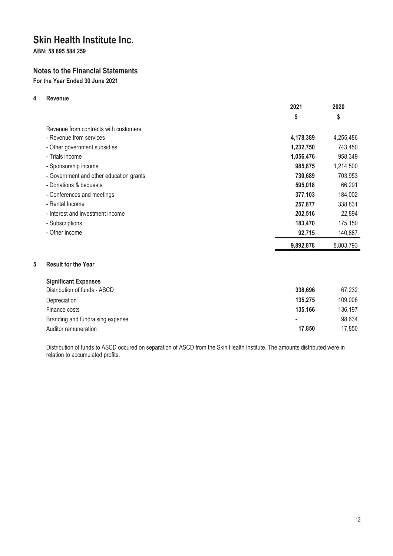**ABN: 58 895 584 259**

# **Notes to the Financial Statements**

**For the Year Ended 30 June 2021**

# **4 Revenue**

|                                         | 2021      | 2020      |
|-----------------------------------------|-----------|-----------|
|                                         | \$        | \$        |
| Revenue from contracts with customers   |           |           |
| - Revenue from services                 | 4,178,389 | 4,255,486 |
| - Other government subsidies            | 1,232,750 | 743,450   |
| - Trials income                         | 1,056,476 | 958,349   |
| - Sponsorship income                    | 985,875   | 1,214,500 |
| - Government and other education grants | 730,689   | 703,953   |
| - Donations & bequests                  | 595,018   | 66,291    |
| - Conferences and meetings              | 377,103   | 184,002   |
| - Rental Income                         | 257,877   | 338,831   |
| - Interest and investment income        | 202,516   | 22,894    |
| - Subscriptions                         | 183,470   | 175,150   |
| - Other income                          | 92,715    | 140,887   |
|                                         | 9,892,878 | 8,803,793 |

# **5 Result for the Year**

| <b>Significant Expenses</b>      |         |         |
|----------------------------------|---------|---------|
| Distribution of funds - ASCD     | 338,696 | 67.232  |
| Depreciation                     | 135,275 | 109,006 |
| Finance costs                    | 135.166 | 136,197 |
| Branding and fundraising expense | ٠       | 98,634  |
| Auditor remuneration             | 17,850  | 17,850  |

Distribution of funds to ASCD occured on separation of ASCD from the Skin Health Institute. The amounts distributed were in relation to accumulated profits.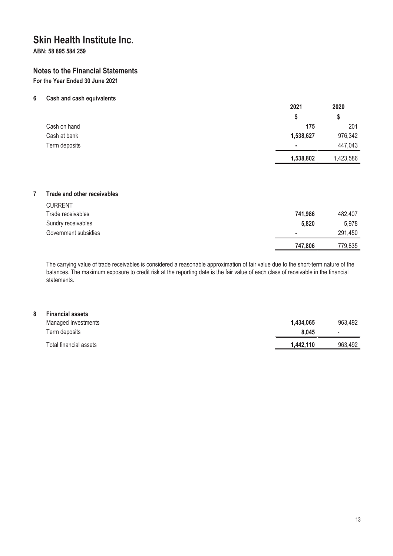**ABN: 58 895 584 259**

# **Notes to the Financial Statements**

**For the Year Ended 30 June 2021**

### **6 Cash and cash equivalents**

|               | 2021      | 2020      |
|---------------|-----------|-----------|
|               |           | S         |
| Cash on hand  | 175       | 201       |
| Cash at bank  | 1,538,627 | 976,342   |
| Term deposits | ٠         | 447,043   |
|               | 1,538,802 | 1,423,586 |

### **7 Trade and other receivables**

|                      | 747,806 | 779.835 |
|----------------------|---------|---------|
| Government subsidies | ٠       | 291,450 |
| Sundry receivables   | 5,820   | 5.978   |
| Trade receivables    | 741,986 | 482,407 |
| <b>CURRENT</b>       |         |         |

The carrying value of trade receivables is considered a reasonable approximation of fair value due to the short-term nature of the balances. The maximum exposure to credit risk at the reporting date is the fair value of each class of receivable in the financial statements.

| 8 | <b>Financial assets</b> |           |                          |
|---|-------------------------|-----------|--------------------------|
|   | Managed Investments     | 1.434.065 | 963,492                  |
|   | Term deposits           | 8.045     | $\overline{\phantom{a}}$ |
|   | Total financial assets  | 1,442,110 | 963,492                  |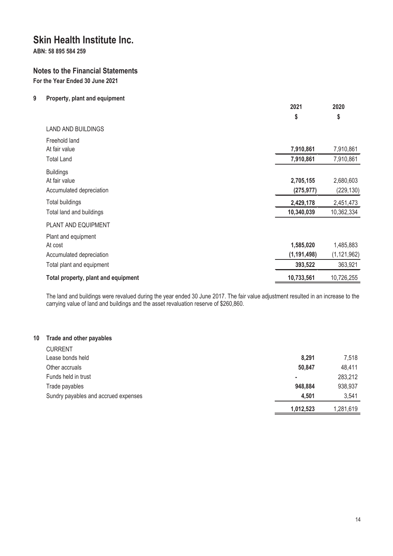**ABN: 58 895 584 259**

# **Notes to the Financial Statements**

**For the Year Ended 30 June 2021**

# **9 Property, plant and equipment**

| \$<br>\$                                                                                 |                            |
|------------------------------------------------------------------------------------------|----------------------------|
|                                                                                          |                            |
| <b>LAND AND BUILDINGS</b>                                                                |                            |
| Freehold land<br>7,910,861<br>At fair value                                              | 7,910,861                  |
| 7,910,861<br><b>Total Land</b>                                                           | 7,910,861                  |
| <b>Buildings</b><br>At fair value<br>2,705,155                                           | 2,680,603                  |
| (275, 977)<br>Accumulated depreciation                                                   | (229, 130)                 |
| Total buildings<br>2,429,178                                                             | 2,451,473                  |
| 10,340,039<br>Total land and buildings                                                   | 10,362,334                 |
| PLANT AND EQUIPMENT                                                                      |                            |
| Plant and equipment<br>1,585,020<br>At cost<br>(1, 191, 498)<br>Accumulated depreciation | 1,485,883<br>(1, 121, 962) |
| 393,522<br>Total plant and equipment                                                     | 363,921                    |
| 10,733,561<br>Total property, plant and equipment                                        | 10,726,255                 |

The land and buildings were revalued during the year ended 30 June 2017. The fair value adjustment resulted in an increase to the carrying value of land and buildings and the asset revaluation reserve of \$260,860.

# **10 Trade and other payables**

|                                      | 1,012,523 | 1,281,619 |
|--------------------------------------|-----------|-----------|
| Sundry payables and accrued expenses | 4.501     | 3,541     |
| Trade payables                       | 948,884   | 938,937   |
| Funds held in trust                  |           | 283,212   |
| Other accruals                       | 50,847    | 48,411    |
| Lease bonds held                     | 8.291     | 7.518     |
| <b>CURRENT</b>                       |           |           |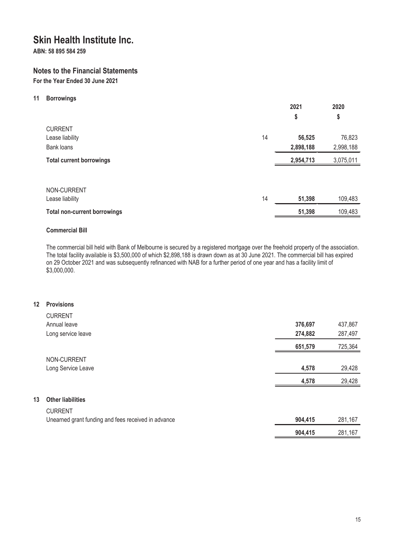**ABN: 58 895 584 259**

# **Notes to the Financial Statements**

**For the Year Ended 30 June 2021**

### **11 Borrowings**

|                                                 |    | 2021<br>\$          | 2020<br>\$          |
|-------------------------------------------------|----|---------------------|---------------------|
| <b>CURRENT</b><br>Lease liability<br>Bank loans | 14 | 56,525<br>2,898,188 | 76,823<br>2,998,188 |
| <b>Total current borrowings</b>                 |    | 2,954,713           | 3,075,011           |
| NON-CURRENT<br>Lease liability                  | 14 | 51,398              | 109,483             |
| <b>Total non-current borrowings</b>             |    | 51,398              | 109,483             |

# **Commercial Bill**

The commercial bill held with Bank of Melbourne is secured by a registered mortgage over the freehold property of the association. The total facility available is \$3,500,000 of which \$2,898,188 is drawn down as at 30 June 2021. The commercial bill has expired on 29 October 2021 and was subsequently refinanced with NAB for a further period of one year and has a facility limit of \$3,000,000.

### **12 Provisions**

**13 Other liabilities**

| <b>CURRENT</b>                                      |         |         |
|-----------------------------------------------------|---------|---------|
| Annual leave                                        | 376,697 | 437,867 |
| Long service leave                                  | 274,882 | 287,497 |
|                                                     | 651,579 | 725,364 |
| NON-CURRENT                                         |         |         |
| Long Service Leave                                  | 4,578   | 29,428  |
|                                                     | 4,578   | 29,428  |
|                                                     |         |         |
| <b>Other liabilities</b>                            |         |         |
| <b>CURRENT</b>                                      |         |         |
| Unearned grant funding and fees received in advance | 904,415 | 281,167 |
|                                                     | 904,415 | 281,167 |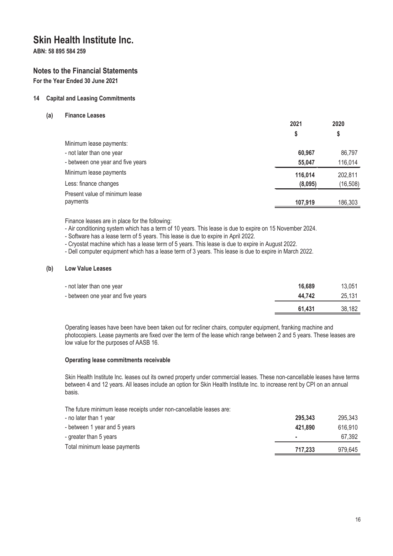**ABN: 58 895 584 259**

# **Notes to the Financial Statements**

**For the Year Ended 30 June 2021**

# **14 Capital and Leasing Commitments**

**(a) Finance Leases**

|                                   | 2021    | 2020      |
|-----------------------------------|---------|-----------|
|                                   | Ş       | S         |
| Minimum lease payments:           |         |           |
| - not later than one year         | 60.967  | 86,797    |
| - between one year and five years | 55,047  | 116,014   |
| Minimum lease payments            | 116,014 | 202,811   |
| Less: finance changes             | (8,095) | (16, 508) |
| Present value of minimum lease    |         |           |
| payments                          | 107,919 | 186,303   |

**2021**

**2020**

Finance leases are in place for the following:

- Air conditioning system which has a term of 10 years. This lease is due to expire on 15 November 2024.

- Software has a lease term of 5 years. This lease is due to expire in April 2022.

- Cryostat machine which has a lease term of 5 years. This lease is due to expire in August 2022.

- Dell computer equipment which has a lease term of 3 years. This lease is due to expire in March 2022.

### **(b) Low Value Leases**

| - not later than one year         | 16,689 | 13.051 |
|-----------------------------------|--------|--------|
| - between one year and five years | 44.742 | 25.131 |
|                                   | 61.431 | 38,182 |

Operating leases have been have been taken out for recliner chairs, computer equipment, franking machine and photocopiers. Lease payments are fixed over the term of the lease which range between 2 and 5 years. These leases are low value for the purposes of AASB 16.

#### **Operating lease commitments receivable**

Skin Health Institute Inc. leases out its owned property under commercial leases. These non-cancellable leases have terms between 4 and 12 years. All leases include an option for Skin Health Institute Inc. to increase rent by CPI on an annual basis.

The future minimum lease receipts under non-cancellable leases are:

| - no later than 1 year       | 295.343 | 295.343 |
|------------------------------|---------|---------|
| - between 1 year and 5 years | 421.890 | 616.910 |
| - greater than 5 years       | ٠       | 67.392  |
| Total minimum lease payments | 717.233 | 979,645 |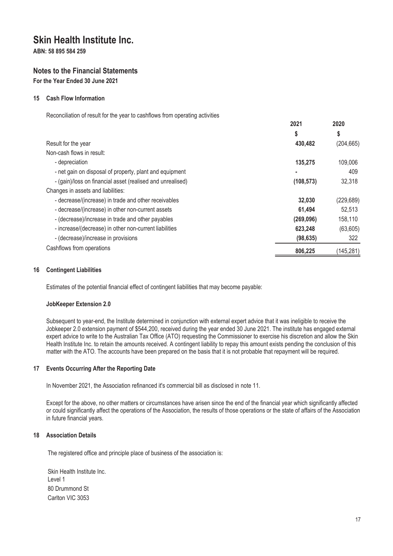**ABN: 58 895 584 259**

# **Notes to the Financial Statements**

**For the Year Ended 30 June 2021**

### **15 Cash Flow Information**

Reconciliation of result for the year to cashflows from operating activities

|                                                            | 2021       | 2020       |
|------------------------------------------------------------|------------|------------|
|                                                            | \$         | \$         |
| Result for the year                                        | 430,482    | (204, 665) |
| Non-cash flows in result:                                  |            |            |
| - depreciation                                             | 135,275    | 109,006    |
| - net gain on disposal of property, plant and equipment    |            | 409        |
| - (gain)/loss on financial asset (realised and unrealised) | (108, 573) | 32,318     |
| Changes in assets and liabilities:                         |            |            |
| - decrease/(increase) in trade and other receivables       | 32,030     | (229, 689) |
| - decrease/(increase) in other non-current assets          | 61,494     | 52,513     |
| - (decrease)/increase in trade and other payables          | (269, 096) | 158,110    |
| - increase/(decrease) in other non-current liabilities     | 623,248    | (63, 605)  |
| - (decrease)/increase in provisions                        | (98, 635)  | 322        |
| Cashflows from operations                                  | 806,225    | (145, 281) |

### **16 Contingent Liabilities**

Estimates of the potential financial effect of contingent liabilities that may become payable:

#### **JobKeeper Extension 2.0**

Subsequent to year-end, the Institute determined in conjunction with external expert advice that it was ineligible to receive the Jobkeeper 2.0 extension payment of \$544,200, received during the year ended 30 June 2021. The institute has engaged external expert advice to write to the Australian Tax Office (ATO) requesting the Commissioner to exercise his discretion and allow the Skin Health Institute Inc. to retain the amounts received. A contingent liability to repay this amount exists pending the conclusion of this matter with the ATO. The accounts have been prepared on the basis that it is not probable that repayment will be required.

#### **17 Events Occurring After the Reporting Date**

In November 2021, the Association refinanced it's commercial bill as disclosed in note 11.

Except for the above, no other matters or circumstances have arisen since the end of the financial year which significantly affected or could significantly affect the operations of the Association, the results of those operations or the state of affairs of the Association in future financial years.

### **18 Association Details**

The registered office and principle place of business of the association is:

Skin Health Institute Inc. Level 1 80 Drummond St Carlton VIC 3053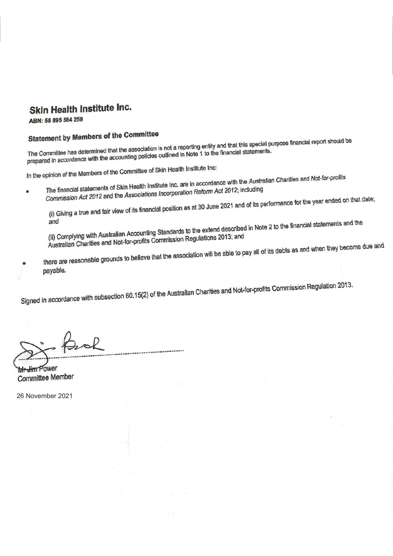ABN: 58 895 584 259

# **Statement by Members of the Committee**

Statement by Members of the Committee<br>The Committee has determined that the association is not a reporting entity and that this special purpose financial report should be<br>The Committee has determined that the accounting po The Committee has determined that the association is not a reporting entity and that this special perpenents.<br>prepared in accordance with the accounting policies outlined in Note 1 to the financial statements.

In the opinion of the Members of the Committee of Skin Health Institute Inc:

- opinion of the Members of the Committee of SKITTIGERT INCREASED The financial statements of Skin Health Institute Inc. are in accordance with the Australian Charities and Not-for-profits<br>The financial statements of Skin He
- The financial statements of Skin Health Institute Inc. are in accordance with the Associations<br>Commission Act 2012 and the Associations Incorporation Reform Act 2012; including

Commission Act 2012 and the Associations Incorporation Reform Act 2014 and of its performance for the year ended on that date;<br>(i) Giving a true and fair view of its financial position as at 30 June 2021 and of its perform

and<br>(ii) Complying with Australian Accounting Standards to the extend described in Note 2 to the financial statements and the<br>(ii) Complying with Australian Accounting Standards to the extend described in Note 2 to the fin (ii) Complying with Australian Accounting Standards to the extend documental<br>Australian Charities and Not-for-profits Commission Regulations 2013; and

Australian Charities and Not-for-profits Commission Regulations 2010;<br>there are reasonable grounds to believe that the association will be able to pay all of its debts as and when they become due and payable.

Signed in accordance with subsection 60.15(2) of the Australian Charities and Not-for-profits Commission Regulation 2013.

Mr-Jim Power **Committee Member** 

26 November 2021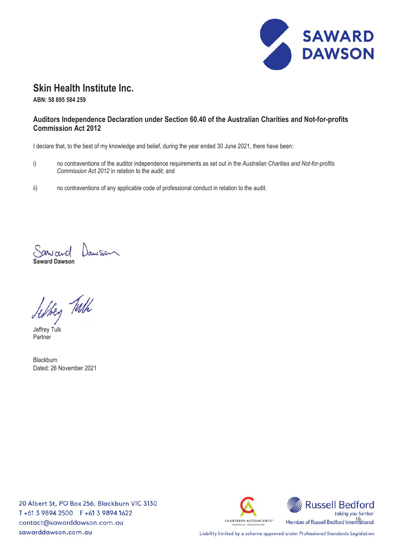

**ABN: 58 895 584 259**

# **Auditors Independence Declaration under Section 60.40 of the Australian Charities and Not-for-profits Commission Act 2012**

I declare that, to the best of my knowledge and belief, during the year ended 30 June 2021, there have been:

- i) no contraventions of the auditor independence requirements as set out in the *Australian Charities and Not-for-profits Commission Act 2012* in relation to the audit; and
- ii) no contraventions of any applicable code of professional conduct in relation to the audit.

**Saward Dawson**

Jeffrey Turk

Partner

Blackburn Dated: 26 November 2021

20 Albert St, PO Box 256, Blackburn VIC 3130 T+61 3 9894 2500 F+61 3 9894 1622 contact@sawarddawson.com.au sawarddawson.com.au



Liability limited by a scheme approved under Professional Standards Legislation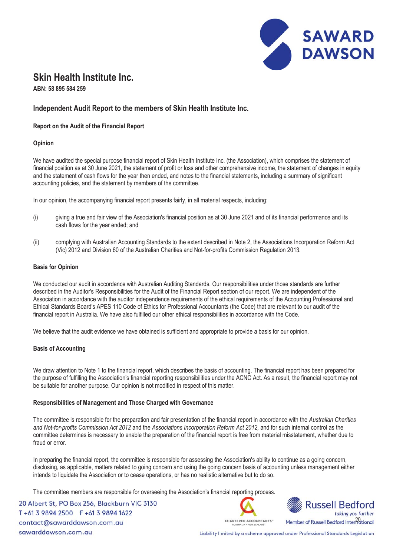

**ABN: 58 895 584 259**

# **Independent Audit Report to the members of Skin Health Institute Inc.**

### **Report on the Audit of the Financial Report**

### **Opinion**

We have audited the special purpose financial report of Skin Health Institute Inc. (the Association), which comprises the statement of financial position as at 30 June 2021, the statement of profit or loss and other comprehensive income, the statement of changes in equity and the statement of cash flows for the year then ended, and notes to the financial statements, including a summary of significant accounting policies, and the statement by members of the committee.

In our opinion, the accompanying financial report presents fairly, in all material respects, including:

- (i) giving a true and fair view of the Association's financial position as at 30 June 2021 and of its financial performance and its cash flows for the year ended; and
- (ii) complying with Australian Accounting Standards to the extent described in Note 2, the Associations Incorporation Reform Act (Vic) 2012 and Division 60 of the Australian Charities and Not-for-profits Commission Regulation 2013.

#### **Basis for Opinion**

We conducted our audit in accordance with Australian Auditing Standards. Our responsibilities under those standards are further<br>described in the Auditaria Responsibilities for the Audit of the Financial Report action of su described in the Auditor's Responsibilities for the Audit of the Financial Report section of our report. We are independent of the Association in accordance with the auditor independence requirements of the ethical requirements of the Accounting Professional and Ethical Standards Board's APES 110 Code of Ethics for Professional Accountants (the Code) that are relevant to our audit of the financial report in Australia. We have also fulfilled our other ethical responsibilities in accordance with the Code.

We believe that the audit evidence we have obtained is sufficient and appropriate to provide a basis for our opinion.

#### **Basis of Accounting**

We draw attention to Note 1 to the financial report, which describes the basis of accounting. The financial report has been prepared for the purpose of fulfilling the Association's financial reporting responsibilities under the ACNC Act. As a result, the financial report may not be suitable for another purpose. Our opinion is not modified in respect of this matter.

#### **Responsibilities of Management and Those Charged with Governance**

The committee is responsible for the preparation and fair presentation of the financial report in accordance with the *Australian Charities and Not-for-profits Commission Act 2012* and the *Associations Incorporation Reform Act 2012,* and for such internal control as the committee determines is necessary to enable the preparation of the financial report is free from material misstatement, whether due to fraud or error.

In preparing the financial report, the committee is responsible for assessing the Association's ability to continue as a going concern, disclosing, as applicable, matters related to going concern and using the going concern basis of accounting unless management either intends to liquidate the Association or to cease operations, or has no realistic alternative but to do so.

The committee members are responsible for overseeing the Association's financial reporting process.

20 Albert St, PO Box 256, Blackburn VIC 3130 T+61 3 9894 2500 F+61 3 9894 1622 contact@sawarddawson.com.au sawarddawson.com.au





Liability limited by a scheme approved under Professional Standards Legislation